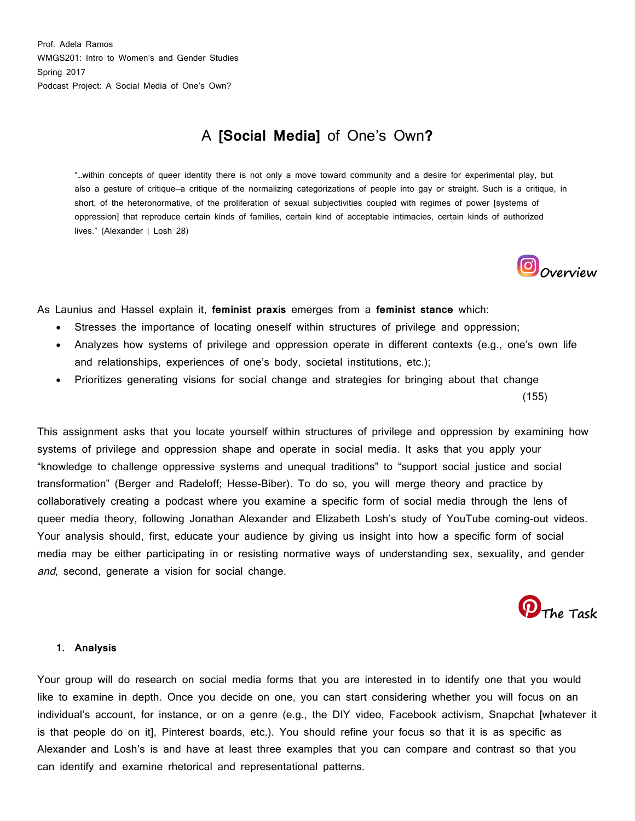Prof. Adela Ramos WMGS201: Intro to Women's and Gender Studies Spring 2017 Podcast Project: A Social Media of One's Own?

### A **[Social Media]** of One's Own**?**

"…within concepts of queer identity there is not only a move toward community and a desire for experimental play, but also a gesture of critique—a critique of the normalizing categorizations of people into gay or straight. Such is a critique, in short, of the heteronormative, of the proliferation of sexual subjectivities coupled with regimes of power [systems of oppression] that reproduce certain kinds of families, certain kind of acceptable intimacies, certain kinds of authorized lives." (Alexander | Losh 28)



(155)

As Launius and Hassel explain it, **feminist praxis** emerges from a **feminist stance** which:

- Stresses the importance of locating oneself within structures of privilege and oppression;
- Analyzes how systems of privilege and oppression operate in different contexts (e.g., one's own life and relationships, experiences of one's body, societal institutions, etc.);
- Prioritizes generating visions for social change and strategies for bringing about that change

This assignment asks that you locate yourself within structures of privilege and oppression by examining how systems of privilege and oppression shape and operate in social media. It asks that you apply your "knowledge to challenge oppressive systems and unequal traditions" to "support social justice and social transformation" (Berger and Radeloff; Hesse-Biber). To do so, you will merge theory and practice by collaboratively creating a podcast where you examine a specific form of social media through the lens of queer media theory, following Jonathan Alexander and Elizabeth Losh's study of YouTube coming-out videos. Your analysis should, first, educate your audience by giving us insight into how a specific form of social media may be either participating in or resisting normative ways of understanding sex, sexuality, and gender and, second, generate a vision for social change.



#### **1. Analysis**

Your group will do research on social media forms that you are interested in to identify one that you would like to examine in depth. Once you decide on one, you can start considering whether you will focus on an individual's account, for instance, or on a genre (e.g., the DIY video, Facebook activism, Snapchat [whatever it is that people do on it], Pinterest boards, etc.). You should refine your focus so that it is as specific as Alexander and Losh's is and have at least three examples that you can compare and contrast so that you can identify and examine rhetorical and representational patterns.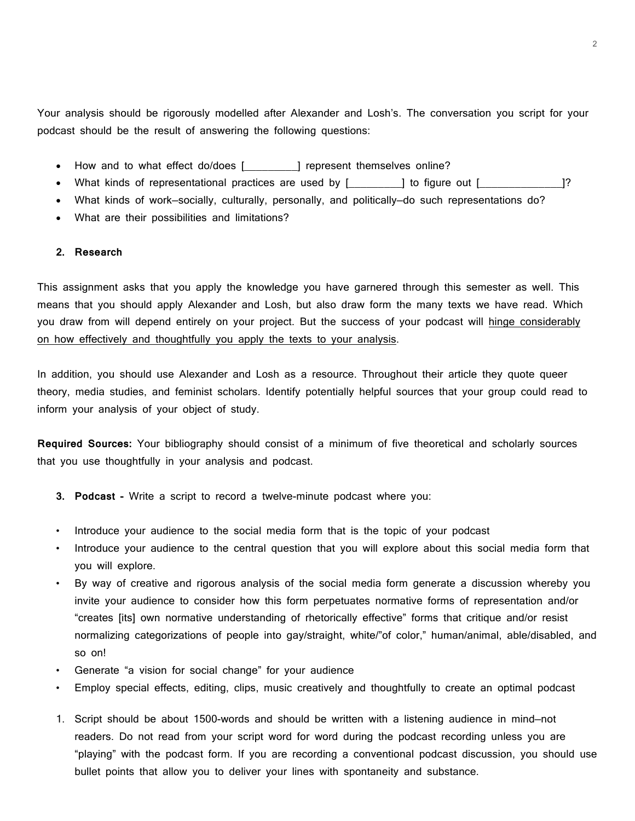Your analysis should be rigorously modelled after Alexander and Losh's. The conversation you script for your podcast should be the result of answering the following questions:

- How and to what effect do/does [\_\_\_\_\_\_\_\_\_] represent themselves online?
- What kinds of representational practices are used by [\_\_\_\_\_\_\_\_\_] to figure out [\_\_\_\_\_\_\_\_\_\_\_\_\_\_]?
- What kinds of work—socially, culturally, personally, and politically—do such representations do?
- What are their possibilities and limitations?

#### **2. Research**

This assignment asks that you apply the knowledge you have garnered through this semester as well. This means that you should apply Alexander and Losh, but also draw form the many texts we have read. Which you draw from will depend entirely on your project. But the success of your podcast will hinge considerably on how effectively and thoughtfully you apply the texts to your analysis.

In addition, you should use Alexander and Losh as a resource. Throughout their article they quote queer theory, media studies, and feminist scholars. Identify potentially helpful sources that your group could read to inform your analysis of your object of study.

**Required Sources:** Your bibliography should consist of a minimum of five theoretical and scholarly sources that you use thoughtfully in your analysis and podcast.

- **3. Podcast -** Write a script to record a twelve-minute podcast where you:
- Introduce your audience to the social media form that is the topic of your podcast
- Introduce your audience to the central question that you will explore about this social media form that you will explore.
- By way of creative and rigorous analysis of the social media form generate a discussion whereby you invite your audience to consider how this form perpetuates normative forms of representation and/or "creates [its] own normative understanding of rhetorically effective" forms that critique and/or resist normalizing categorizations of people into gay/straight, white/"of color," human/animal, able/disabled, and so on!
- Generate "a vision for social change" for your audience
- Employ special effects, editing, clips, music creatively and thoughtfully to create an optimal podcast
- 1. Script should be about 1500-words and should be written with a listening audience in mind—not readers. Do not read from your script word for word during the podcast recording unless you are "playing" with the podcast form. If you are recording a conventional podcast discussion, you should use bullet points that allow you to deliver your lines with spontaneity and substance.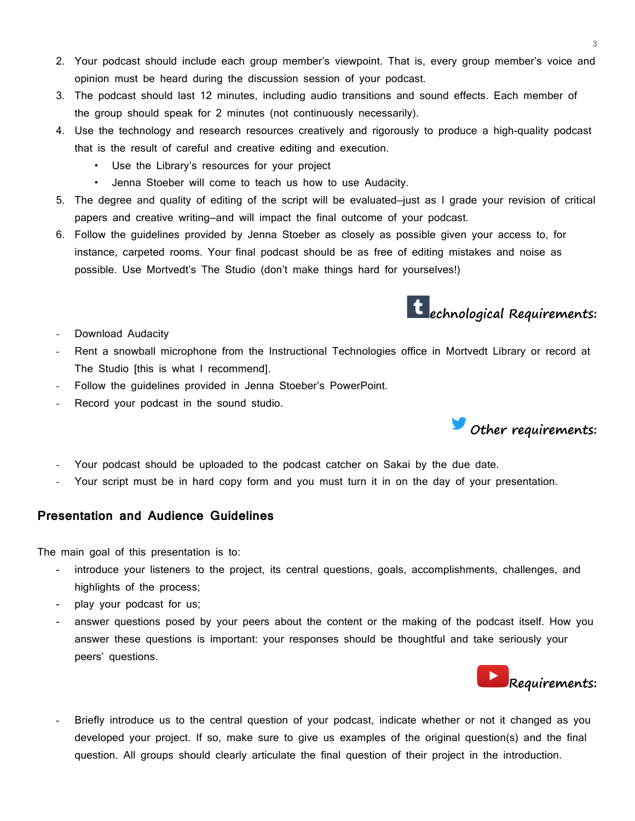- 2. Your podcast should include each group member's viewpoint. That is, every group member's voice and opinion must be heard during the discussion session of your podcast.
- 3. The podcast should last 12 minutes, including audio transitions and sound effects. Each member of the group should speak for 2 minutes (not continuously necessarily).
- 4. Use the technology and research resources creatively and rigorously to produce a high-quality podcast that is the result of careful and creative editing and execution.
	- Use the Library's resources for your project
	- Jenna Stoeber will come to teach us how to use Audacity.
- 5. The degree and quality of editing of the script will be evaluated—just as I grade your revision of critical papers and creative writing—and will impact the final outcome of your podcast.
- 6. Follow the guidelines provided by Jenna Stoeber as closely as possible given your access to, for instance, carpeted rooms. Your final podcast should be as free of editing mistakes and noise as possible. Use Mortvedt's The Studio (don't make things hard for yourselves!)

# **echnological Requirements:**

- Download Audacity
- Rent a snowball microphone from the Instructional Technologies office in Mortvedt Library or record at The Studio [this is what I recommend].
- Follow the guidelines provided in Jenna Stoeber's PowerPoint.
- Record your podcast in the sound studio.



Your script must be in hard copy form and you must turn it in on the day of your presentation.

#### **Presentation and Audience Guidelines**

The main goal of this presentation is to:

- introduce your listeners to the project, its central questions, goals, accomplishments, challenges, and highlights of the process;
- play your podcast for us;
- answer questions posed by your peers about the content or the making of the podcast itself. How you answer these questions is important: your responses should be thoughtful and take seriously your peers' questions.



Briefly introduce us to the central question of your podcast, indicate whether or not it changed as you developed your project. If so, make sure to give us examples of the original question(s) and the final question. All groups should clearly articulate the final question of their project in the introduction.

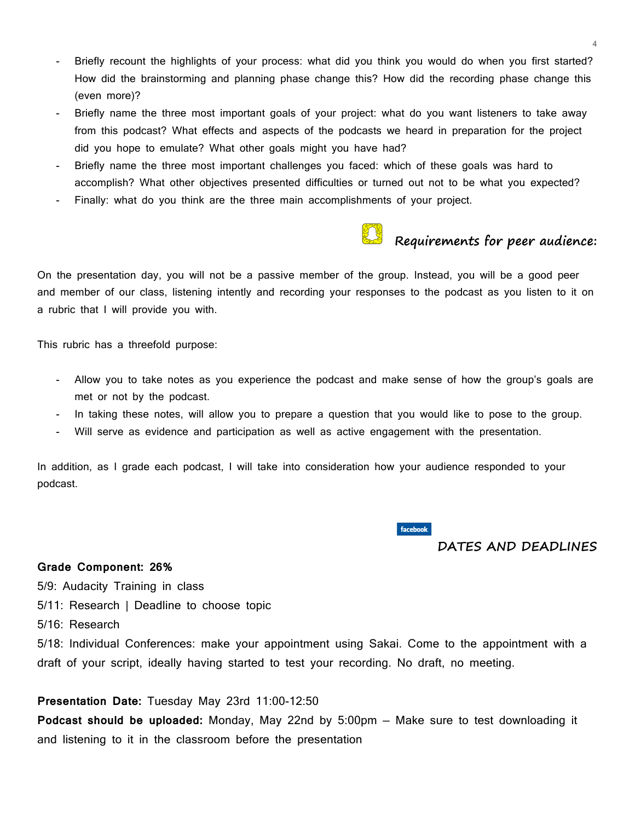- Briefly recount the highlights of your process: what did you think you would do when you first started? How did the brainstorming and planning phase change this? How did the recording phase change this (even more)?
- Briefly name the three most important goals of your project: what do you want listeners to take away from this podcast? What effects and aspects of the podcasts we heard in preparation for the project did you hope to emulate? What other goals might you have had?
- Briefly name the three most important challenges you faced: which of these goals was hard to accomplish? What other objectives presented difficulties or turned out not to be what you expected?
- Finally: what do you think are the three main accomplishments of your project.



## **Requirements for peer audience:**

On the presentation day, you will not be a passive member of the group. Instead, you will be a good peer and member of our class, listening intently and recording your responses to the podcast as you listen to it on a rubric that I will provide you with.

This rubric has a threefold purpose:

- Allow you to take notes as you experience the podcast and make sense of how the group's goals are met or not by the podcast.
- In taking these notes, will allow you to prepare a question that you would like to pose to the group.
- Will serve as evidence and participation as well as active engagement with the presentation.

In addition, as I grade each podcast, I will take into consideration how your audience responded to your podcast.

facebook

#### **DATES AND DEADLINES**

#### **Grade Component: 26%**

5/9: Audacity Training in class

5/11: Research | Deadline to choose topic

5/16: Research

5/18: Individual Conferences: make your appointment using Sakai. Come to the appointment with a draft of your script, ideally having started to test your recording. No draft, no meeting.

#### **Presentation Date:** Tuesday May 23rd 11:00-12:50

**Podcast should be uploaded:** Monday, May 22nd by 5:00pm — Make sure to test downloading it and listening to it in the classroom before the presentation